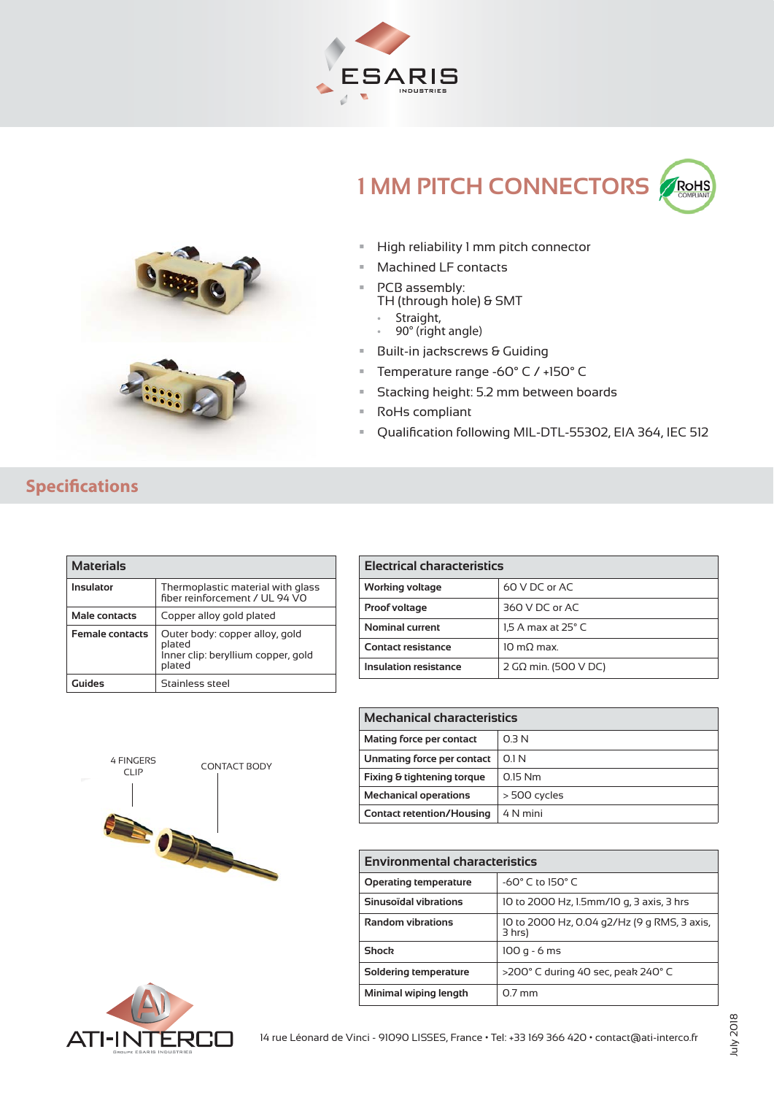





## High reliability 1 mm pitch connector

- Machined LF contacts
- PCB assembly: TH (through hole) & SMT
	- $\bar{\phantom{a}}$
	- Straight,<br>• 90° (right angle)
- 90° (right angle) Built-in jackscrews & Guiding
- Temperature range -60° C / +150° C
- Stacking height: 5.2 mm between boards
- RoHs compliant
- **Qualification following MIL-DTL-55302, EIA 364, IEC 512**

## **Specifications**

| <b>Materials</b>       |                                                                                          |  |
|------------------------|------------------------------------------------------------------------------------------|--|
| Insulator              | Thermoplastic material with glass<br>fiber reinforcement / UL 94 VO                      |  |
| Male contacts          | Copper alloy gold plated                                                                 |  |
| <b>Female contacts</b> | Outer body: copper alloy, gold<br>plated<br>Inner clip: beryllium copper, gold<br>plated |  |
| Guides                 | Stainless steel                                                                          |  |

| Electrical characteristics |                                |  |
|----------------------------|--------------------------------|--|
| Working voltage            | 60 V DC or AC                  |  |
| Proof voltage              | 360 V DC or AC                 |  |
| Nominal current            | $1.5$ A max at 25 $^{\circ}$ C |  |
| <b>Contact resistance</b>  | $10 \text{ m}$ O $\text{max}$  |  |
| Insulation resistance      | 2 G $\Omega$ min. (500 V DC)   |  |



| <b>Mechanical characteristics</b> |                  |  |
|-----------------------------------|------------------|--|
| Mating force per contact          | O <sub>3</sub> N |  |
| Unmating force per contact        | 01N              |  |
| Fixing & tightening torque        | $015$ Nm         |  |
| <b>Mechanical operations</b>      | > 500 cycles     |  |
| <b>Contact retention/Housing</b>  | 4 N mini         |  |

| Environmental characteristics |                                                       |  |
|-------------------------------|-------------------------------------------------------|--|
| <b>Operating temperature</b>  | $-60^\circ$ C to 150° C                               |  |
| Sinusoïdal vibrations         | 10 to 2000 Hz, 1.5mm/10 g, 3 axis, 3 hrs              |  |
| <b>Random vibrations</b>      | 10 to 2000 Hz, 0.04 g2/Hz (9 g RMS, 3 axis,<br>3 hrs) |  |
| <b>Shock</b>                  | $100q - 6ms$                                          |  |
| Soldering temperature         | >200° C during 40 sec, peak 240° C                    |  |
| Minimal wiping length         | $07 \,\mathrm{mm}$                                    |  |